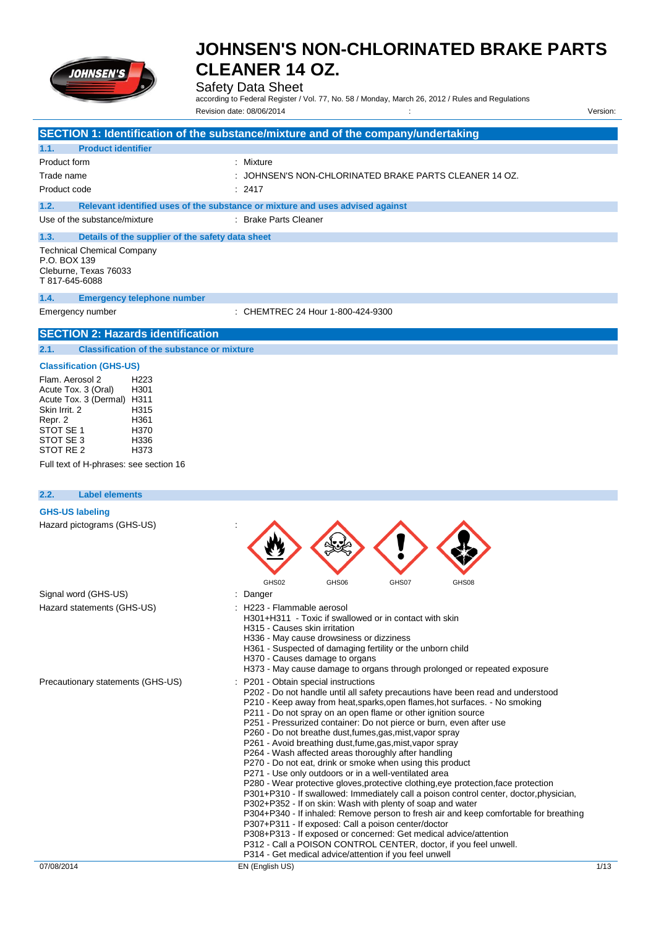

## Safety Data Sheet

according to Federal Register / Vol. 77, No. 58 / Monday, March 26, 2012 / Rules and Regulations Revision date: 08/06/2014 : Version:

|                                                                                                                                                                                                                                                       | SECTION 1: Identification of the substance/mixture and of the company/undertaking                                                                                                                                                                                                                                                                                                                                                                                                                                                                                                                                                                                                                                                                                                                                                                                                                                                                                                                                                                                                                                                                                                                                                                      |
|-------------------------------------------------------------------------------------------------------------------------------------------------------------------------------------------------------------------------------------------------------|--------------------------------------------------------------------------------------------------------------------------------------------------------------------------------------------------------------------------------------------------------------------------------------------------------------------------------------------------------------------------------------------------------------------------------------------------------------------------------------------------------------------------------------------------------------------------------------------------------------------------------------------------------------------------------------------------------------------------------------------------------------------------------------------------------------------------------------------------------------------------------------------------------------------------------------------------------------------------------------------------------------------------------------------------------------------------------------------------------------------------------------------------------------------------------------------------------------------------------------------------------|
| <b>Product identifier</b><br>1.1.                                                                                                                                                                                                                     |                                                                                                                                                                                                                                                                                                                                                                                                                                                                                                                                                                                                                                                                                                                                                                                                                                                                                                                                                                                                                                                                                                                                                                                                                                                        |
| Product form                                                                                                                                                                                                                                          | : Mixture                                                                                                                                                                                                                                                                                                                                                                                                                                                                                                                                                                                                                                                                                                                                                                                                                                                                                                                                                                                                                                                                                                                                                                                                                                              |
| Trade name                                                                                                                                                                                                                                            | JOHNSEN'S NON-CHLORINATED BRAKE PARTS CLEANER 14 OZ.                                                                                                                                                                                                                                                                                                                                                                                                                                                                                                                                                                                                                                                                                                                                                                                                                                                                                                                                                                                                                                                                                                                                                                                                   |
| Product code                                                                                                                                                                                                                                          | 2417                                                                                                                                                                                                                                                                                                                                                                                                                                                                                                                                                                                                                                                                                                                                                                                                                                                                                                                                                                                                                                                                                                                                                                                                                                                   |
| 1.2.                                                                                                                                                                                                                                                  | Relevant identified uses of the substance or mixture and uses advised against                                                                                                                                                                                                                                                                                                                                                                                                                                                                                                                                                                                                                                                                                                                                                                                                                                                                                                                                                                                                                                                                                                                                                                          |
| Use of the substance/mixture                                                                                                                                                                                                                          | : Brake Parts Cleaner                                                                                                                                                                                                                                                                                                                                                                                                                                                                                                                                                                                                                                                                                                                                                                                                                                                                                                                                                                                                                                                                                                                                                                                                                                  |
| 1.3.<br>Details of the supplier of the safety data sheet                                                                                                                                                                                              |                                                                                                                                                                                                                                                                                                                                                                                                                                                                                                                                                                                                                                                                                                                                                                                                                                                                                                                                                                                                                                                                                                                                                                                                                                                        |
| <b>Technical Chemical Company</b><br>P.O. BOX 139<br>Cleburne, Texas 76033<br>T 817-645-6088                                                                                                                                                          |                                                                                                                                                                                                                                                                                                                                                                                                                                                                                                                                                                                                                                                                                                                                                                                                                                                                                                                                                                                                                                                                                                                                                                                                                                                        |
| 1.4.<br><b>Emergency telephone number</b>                                                                                                                                                                                                             |                                                                                                                                                                                                                                                                                                                                                                                                                                                                                                                                                                                                                                                                                                                                                                                                                                                                                                                                                                                                                                                                                                                                                                                                                                                        |
| Emergency number                                                                                                                                                                                                                                      | : CHEMTREC 24 Hour 1-800-424-9300                                                                                                                                                                                                                                                                                                                                                                                                                                                                                                                                                                                                                                                                                                                                                                                                                                                                                                                                                                                                                                                                                                                                                                                                                      |
| <b>SECTION 2: Hazards identification</b>                                                                                                                                                                                                              |                                                                                                                                                                                                                                                                                                                                                                                                                                                                                                                                                                                                                                                                                                                                                                                                                                                                                                                                                                                                                                                                                                                                                                                                                                                        |
| <b>Classification of the substance or mixture</b><br>2.1.                                                                                                                                                                                             |                                                                                                                                                                                                                                                                                                                                                                                                                                                                                                                                                                                                                                                                                                                                                                                                                                                                                                                                                                                                                                                                                                                                                                                                                                                        |
| <b>Classification (GHS-US)</b>                                                                                                                                                                                                                        |                                                                                                                                                                                                                                                                                                                                                                                                                                                                                                                                                                                                                                                                                                                                                                                                                                                                                                                                                                                                                                                                                                                                                                                                                                                        |
| Flam. Aerosol 2<br>H <sub>223</sub><br>Acute Tox. 3 (Oral)<br>H301<br>Acute Tox. 3 (Dermal) H311<br>Skin Irrit, 2<br>H315<br>Repr. 2<br>H361<br>STOT SE 1<br>H370<br>STOT SE 3<br>H336<br>STOT RE 2<br>H373<br>Full text of H-phrases: see section 16 |                                                                                                                                                                                                                                                                                                                                                                                                                                                                                                                                                                                                                                                                                                                                                                                                                                                                                                                                                                                                                                                                                                                                                                                                                                                        |
| <b>Label elements</b><br>2.2.                                                                                                                                                                                                                         |                                                                                                                                                                                                                                                                                                                                                                                                                                                                                                                                                                                                                                                                                                                                                                                                                                                                                                                                                                                                                                                                                                                                                                                                                                                        |
| <b>GHS-US labeling</b>                                                                                                                                                                                                                                |                                                                                                                                                                                                                                                                                                                                                                                                                                                                                                                                                                                                                                                                                                                                                                                                                                                                                                                                                                                                                                                                                                                                                                                                                                                        |
| Hazard pictograms (GHS-US)                                                                                                                                                                                                                            | GHS02<br>GHS06<br>GHS07<br>GHS08                                                                                                                                                                                                                                                                                                                                                                                                                                                                                                                                                                                                                                                                                                                                                                                                                                                                                                                                                                                                                                                                                                                                                                                                                       |
| Signal word (GHS-US)<br>Hazard statements (GHS-US)                                                                                                                                                                                                    | Danger<br>H223 - Flammable aerosol<br>H301+H311 - Toxic if swallowed or in contact with skin<br>H315 - Causes skin irritation<br>H336 - May cause drowsiness or dizziness<br>H361 - Suspected of damaging fertility or the unborn child<br>H370 - Causes damage to organs<br>H373 - May cause damage to organs through prolonged or repeated exposure                                                                                                                                                                                                                                                                                                                                                                                                                                                                                                                                                                                                                                                                                                                                                                                                                                                                                                  |
| Precautionary statements (GHS-US)                                                                                                                                                                                                                     | P201 - Obtain special instructions<br>P202 - Do not handle until all safety precautions have been read and understood<br>P210 - Keep away from heat, sparks, open flames, hot surfaces. - No smoking<br>P211 - Do not spray on an open flame or other ignition source<br>P251 - Pressurized container: Do not pierce or burn, even after use<br>P260 - Do not breathe dust, fumes, gas, mist, vapor spray<br>P261 - Avoid breathing dust, fume, gas, mist, vapor spray<br>P264 - Wash affected areas thoroughly after handling<br>P270 - Do not eat, drink or smoke when using this product<br>P271 - Use only outdoors or in a well-ventilated area<br>P280 - Wear protective gloves, protective clothing, eye protection, face protection<br>P301+P310 - If swallowed: Immediately call a poison control center, doctor, physician,<br>P302+P352 - If on skin: Wash with plenty of soap and water<br>P304+P340 - If inhaled: Remove person to fresh air and keep comfortable for breathing<br>P307+P311 - If exposed: Call a poison center/doctor<br>P308+P313 - If exposed or concerned: Get medical advice/attention<br>P312 - Call a POISON CONTROL CENTER, doctor, if you feel unwell.<br>P314 - Get medical advice/attention if you feel unwell |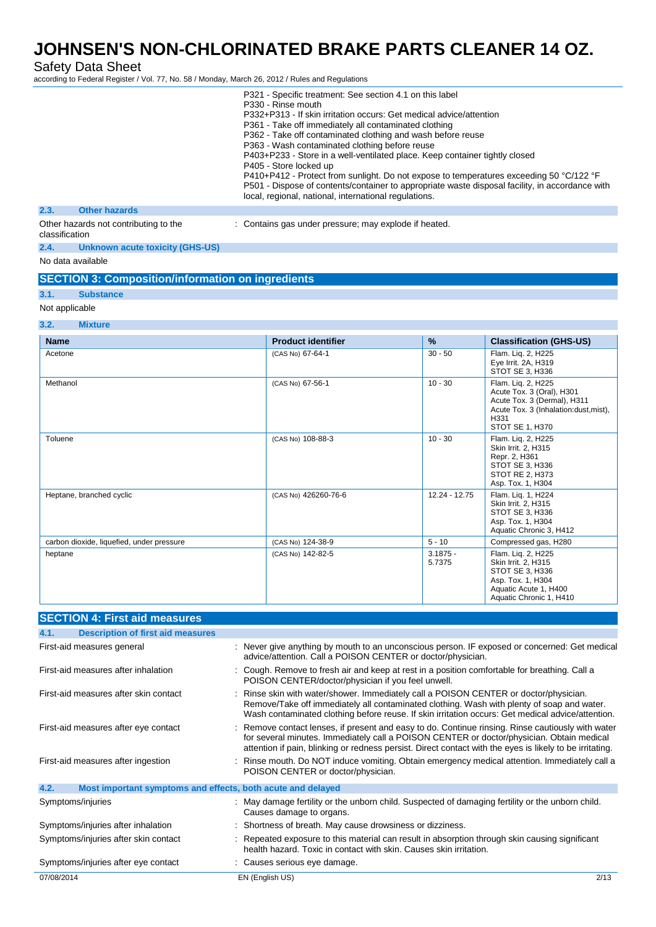Safety Data Sheet

according to Federal Register / Vol. 77, No. 58 / Monday, March 26, 2012 / Rules and Regulations

|                                                         | P321 - Specific treatment: See section 4.1 on this label                                        |
|---------------------------------------------------------|-------------------------------------------------------------------------------------------------|
|                                                         | P330 - Rinse mouth                                                                              |
|                                                         | P332+P313 - If skin irritation occurs: Get medical advice/attention                             |
|                                                         | P361 - Take off immediately all contaminated clothing                                           |
|                                                         | P362 - Take off contaminated clothing and wash before reuse                                     |
|                                                         | P363 - Wash contaminated clothing before reuse                                                  |
|                                                         | P403+P233 - Store in a well-ventilated place. Keep container tightly closed                     |
|                                                         | P405 - Store locked up                                                                          |
|                                                         | P410+P412 - Protect from sunlight. Do not expose to temperatures exceeding 50 °C/122 °F         |
|                                                         | P501 - Dispose of contents/container to appropriate waste disposal facility, in accordance with |
|                                                         | local, regional, national, international regulations.                                           |
| <b>Other hazards</b><br>2.3.                            |                                                                                                 |
| Other hazards not contributing to the<br>classification | : Contains gas under pressure; may explode if heated.                                           |
| _ _ _ _ _                                               |                                                                                                 |

## **2.4. Unknown acute toxicity (GHS-US)**

No data available

### **SECTION 3: Composition/information on ingredients**

#### **3.1. Substance**

### Not applicable

### **3.2. Mixture**

| <b>Name</b>                               | <b>Product identifier</b> | $\frac{9}{6}$        | <b>Classification (GHS-US)</b>                                                                                                                     |
|-------------------------------------------|---------------------------|----------------------|----------------------------------------------------------------------------------------------------------------------------------------------------|
| Acetone                                   | (CAS No) 67-64-1          | $30 - 50$            | Flam. Liq. 2, H225<br>Eye Irrit. 2A, H319<br>STOT SE 3, H336                                                                                       |
| Methanol                                  | (CAS No) 67-56-1          | $10 - 30$            | Flam. Liq. 2, H225<br>Acute Tox. 3 (Oral), H301<br>Acute Tox. 3 (Dermal), H311<br>Acute Tox. 3 (Inhalation:dust, mist),<br>H331<br>STOT SE 1, H370 |
| Toluene                                   | (CAS No) 108-88-3         | $10 - 30$            | Flam. Lig. 2, H225<br>Skin Irrit. 2, H315<br>Repr. 2, H361<br>STOT SE 3, H336<br>STOT RE 2. H373<br>Asp. Tox. 1, H304                              |
| Heptane, branched cyclic                  | (CAS No) 426260-76-6      | 12.24 - 12.75        | Flam. Lig. 1, H224<br>Skin Irrit. 2, H315<br>STOT SE 3. H336<br>Asp. Tox. 1, H304<br>Aquatic Chronic 3, H412                                       |
| carbon dioxide, liquefied, under pressure | (CAS No) 124-38-9         | $5 - 10$             | Compressed gas, H280                                                                                                                               |
| heptane                                   | (CAS No) 142-82-5         | $3.1875 -$<br>5.7375 | Flam. Liq. 2, H225<br>Skin Irrit. 2, H315<br>STOT SE 3, H336<br>Asp. Tox. 1, H304<br>Aquatic Acute 1, H400<br>Aquatic Chronic 1, H410              |

| <b>SECTION 4: First aid measures</b>                                |                                                                                                                                                                                                                                                                                                          |
|---------------------------------------------------------------------|----------------------------------------------------------------------------------------------------------------------------------------------------------------------------------------------------------------------------------------------------------------------------------------------------------|
| <b>Description of first aid measures</b><br>4.1.                    |                                                                                                                                                                                                                                                                                                          |
| First-aid measures general                                          | : Never give anything by mouth to an unconscious person. IF exposed or concerned: Get medical<br>advice/attention. Call a POISON CENTER or doctor/physician.                                                                                                                                             |
| First-aid measures after inhalation                                 | Cough. Remove to fresh air and keep at rest in a position comfortable for breathing. Call a<br>POISON CENTER/doctor/physician if you feel unwell.                                                                                                                                                        |
| First-aid measures after skin contact                               | Rinse skin with water/shower. Immediately call a POISON CENTER or doctor/physician.<br>Remove/Take off immediately all contaminated clothing. Wash with plenty of soap and water.<br>Wash contaminated clothing before reuse. If skin irritation occurs: Get medical advice/attention.                   |
| First-aid measures after eye contact                                | Remove contact lenses, if present and easy to do. Continue rinsing. Rinse cautiously with water<br>for several minutes. Immediately call a POISON CENTER or doctor/physician. Obtain medical<br>attention if pain, blinking or redness persist. Direct contact with the eyes is likely to be irritating. |
| First-aid measures after ingestion                                  | Rinse mouth. Do NOT induce vomiting. Obtain emergency medical attention. Immediately call a<br>POISON CENTER or doctor/physician.                                                                                                                                                                        |
| 4.2.<br>Most important symptoms and effects, both acute and delayed |                                                                                                                                                                                                                                                                                                          |
| Symptoms/injuries                                                   | May damage fertility or the unborn child. Suspected of damaging fertility or the unborn child.<br>Causes damage to organs.                                                                                                                                                                               |
| Symptoms/injuries after inhalation                                  | Shortness of breath. May cause drowsiness or dizziness.                                                                                                                                                                                                                                                  |
| Symptoms/injuries after skin contact                                | Repeated exposure to this material can result in absorption through skin causing significant<br>health hazard. Toxic in contact with skin. Causes skin irritation.                                                                                                                                       |
| Symptoms/injuries after eye contact                                 | Causes serious eye damage.                                                                                                                                                                                                                                                                               |
| 07/08/2014                                                          | 2/13<br>EN (English US)                                                                                                                                                                                                                                                                                  |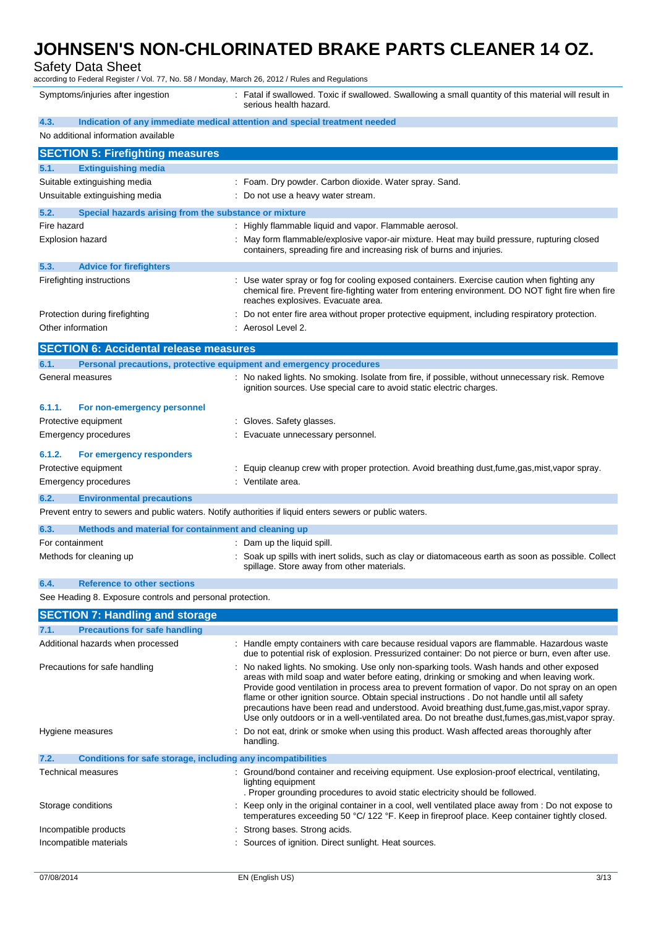Safety Data Sheet

according to Federal Register / Vol. 77, No. 58 / Monday, March 26, 2012 / Rules and Regulations

Symptoms/injuries after ingestion : Fatal if swallowed. Toxic if swallowed. Swallowing a small quantity of this material will result in serious health hazard.

| 4.3.                                                                        | Indication of any immediate medical attention and special treatment needed                                                                                                                                                                                                                                                                                                                                                                                                                                                                                                                       |
|-----------------------------------------------------------------------------|--------------------------------------------------------------------------------------------------------------------------------------------------------------------------------------------------------------------------------------------------------------------------------------------------------------------------------------------------------------------------------------------------------------------------------------------------------------------------------------------------------------------------------------------------------------------------------------------------|
| No additional information available                                         |                                                                                                                                                                                                                                                                                                                                                                                                                                                                                                                                                                                                  |
| <b>SECTION 5: Firefighting measures</b>                                     |                                                                                                                                                                                                                                                                                                                                                                                                                                                                                                                                                                                                  |
| 5.1.<br><b>Extinguishing media</b>                                          |                                                                                                                                                                                                                                                                                                                                                                                                                                                                                                                                                                                                  |
| Suitable extinguishing media                                                | : Foam. Dry powder. Carbon dioxide. Water spray. Sand.                                                                                                                                                                                                                                                                                                                                                                                                                                                                                                                                           |
| Unsuitable extinguishing media                                              | : Do not use a heavy water stream.                                                                                                                                                                                                                                                                                                                                                                                                                                                                                                                                                               |
| 5.2.<br>Special hazards arising from the substance or mixture               |                                                                                                                                                                                                                                                                                                                                                                                                                                                                                                                                                                                                  |
| Fire hazard                                                                 | : Highly flammable liquid and vapor. Flammable aerosol.                                                                                                                                                                                                                                                                                                                                                                                                                                                                                                                                          |
| <b>Explosion hazard</b>                                                     | : May form flammable/explosive vapor-air mixture. Heat may build pressure, rupturing closed                                                                                                                                                                                                                                                                                                                                                                                                                                                                                                      |
|                                                                             | containers, spreading fire and increasing risk of burns and injuries.                                                                                                                                                                                                                                                                                                                                                                                                                                                                                                                            |
| 5.3.<br><b>Advice for firefighters</b>                                      |                                                                                                                                                                                                                                                                                                                                                                                                                                                                                                                                                                                                  |
| Firefighting instructions                                                   | : Use water spray or fog for cooling exposed containers. Exercise caution when fighting any                                                                                                                                                                                                                                                                                                                                                                                                                                                                                                      |
|                                                                             | chemical fire. Prevent fire-fighting water from entering environment. DO NOT fight fire when fire<br>reaches explosives. Evacuate area.                                                                                                                                                                                                                                                                                                                                                                                                                                                          |
| Protection during firefighting                                              | : Do not enter fire area without proper protective equipment, including respiratory protection.                                                                                                                                                                                                                                                                                                                                                                                                                                                                                                  |
| Other information                                                           | : Aerosol Level 2.                                                                                                                                                                                                                                                                                                                                                                                                                                                                                                                                                                               |
| <b>SECTION 6: Accidental release measures</b>                               |                                                                                                                                                                                                                                                                                                                                                                                                                                                                                                                                                                                                  |
| 6.1.<br>Personal precautions, protective equipment and emergency procedures |                                                                                                                                                                                                                                                                                                                                                                                                                                                                                                                                                                                                  |
| General measures                                                            | : No naked lights. No smoking. Isolate from fire, if possible, without unnecessary risk. Remove                                                                                                                                                                                                                                                                                                                                                                                                                                                                                                  |
|                                                                             | ignition sources. Use special care to avoid static electric charges.                                                                                                                                                                                                                                                                                                                                                                                                                                                                                                                             |
| 6.1.1.<br>For non-emergency personnel                                       |                                                                                                                                                                                                                                                                                                                                                                                                                                                                                                                                                                                                  |
| Protective equipment                                                        | : Gloves. Safety glasses.                                                                                                                                                                                                                                                                                                                                                                                                                                                                                                                                                                        |
| Emergency procedures                                                        | Evacuate unnecessary personnel.                                                                                                                                                                                                                                                                                                                                                                                                                                                                                                                                                                  |
| 6.1.2.<br>For emergency responders                                          |                                                                                                                                                                                                                                                                                                                                                                                                                                                                                                                                                                                                  |
| Protective equipment                                                        | : Equip cleanup crew with proper protection. Avoid breathing dust,fume,gas,mist,vapor spray.                                                                                                                                                                                                                                                                                                                                                                                                                                                                                                     |
| Emergency procedures                                                        | Ventilate area.                                                                                                                                                                                                                                                                                                                                                                                                                                                                                                                                                                                  |
| 6.2.<br><b>Environmental precautions</b>                                    |                                                                                                                                                                                                                                                                                                                                                                                                                                                                                                                                                                                                  |
|                                                                             | Prevent entry to sewers and public waters. Notify authorities if liquid enters sewers or public waters.                                                                                                                                                                                                                                                                                                                                                                                                                                                                                          |
| 6.3.<br>Methods and material for containment and cleaning up                |                                                                                                                                                                                                                                                                                                                                                                                                                                                                                                                                                                                                  |
| For containment                                                             | : Dam up the liquid spill.                                                                                                                                                                                                                                                                                                                                                                                                                                                                                                                                                                       |
| Methods for cleaning up                                                     | : Soak up spills with inert solids, such as clay or diatomaceous earth as soon as possible. Collect                                                                                                                                                                                                                                                                                                                                                                                                                                                                                              |
|                                                                             | spillage. Store away from other materials.                                                                                                                                                                                                                                                                                                                                                                                                                                                                                                                                                       |
| 6.4.<br><b>Reference to other sections</b>                                  |                                                                                                                                                                                                                                                                                                                                                                                                                                                                                                                                                                                                  |
| See Heading 8. Exposure controls and personal protection.                   |                                                                                                                                                                                                                                                                                                                                                                                                                                                                                                                                                                                                  |
| <b>SECTION 7: Handling and storage</b>                                      |                                                                                                                                                                                                                                                                                                                                                                                                                                                                                                                                                                                                  |
| 7.1.<br><b>Precautions for safe handling</b>                                |                                                                                                                                                                                                                                                                                                                                                                                                                                                                                                                                                                                                  |
| Additional hazards when processed                                           | : Handle empty containers with care because residual vapors are flammable. Hazardous waste                                                                                                                                                                                                                                                                                                                                                                                                                                                                                                       |
|                                                                             | due to potential risk of explosion. Pressurized container: Do not pierce or burn, even after use.                                                                                                                                                                                                                                                                                                                                                                                                                                                                                                |
| Precautions for safe handling                                               | : No naked lights. No smoking. Use only non-sparking tools. Wash hands and other exposed<br>areas with mild soap and water before eating, drinking or smoking and when leaving work.<br>Provide good ventilation in process area to prevent formation of vapor. Do not spray on an open<br>flame or other ignition source. Obtain special instructions . Do not handle until all safety<br>precautions have been read and understood. Avoid breathing dust, fume, gas, mist, vapor spray.<br>Use only outdoors or in a well-ventilated area. Do not breathe dust, fumes, gas, mist, vapor spray. |
| Hygiene measures                                                            | Do not eat, drink or smoke when using this product. Wash affected areas thoroughly after<br>handling.                                                                                                                                                                                                                                                                                                                                                                                                                                                                                            |
| 7.2.<br>Conditions for safe storage, including any incompatibilities        |                                                                                                                                                                                                                                                                                                                                                                                                                                                                                                                                                                                                  |
| Technical measures                                                          | : Ground/bond container and receiving equipment. Use explosion-proof electrical, ventilating,                                                                                                                                                                                                                                                                                                                                                                                                                                                                                                    |
|                                                                             | lighting equipment<br>. Proper grounding procedures to avoid static electricity should be followed.                                                                                                                                                                                                                                                                                                                                                                                                                                                                                              |
| Storage conditions                                                          | : Keep only in the original container in a cool, well ventilated place away from : Do not expose to<br>temperatures exceeding 50 °C/ 122 °F. Keep in fireproof place. Keep container tightly closed.                                                                                                                                                                                                                                                                                                                                                                                             |
| Incompatible products                                                       | : Strong bases. Strong acids.                                                                                                                                                                                                                                                                                                                                                                                                                                                                                                                                                                    |
| Incompatible materials                                                      | : Sources of ignition. Direct sunlight. Heat sources.                                                                                                                                                                                                                                                                                                                                                                                                                                                                                                                                            |
|                                                                             |                                                                                                                                                                                                                                                                                                                                                                                                                                                                                                                                                                                                  |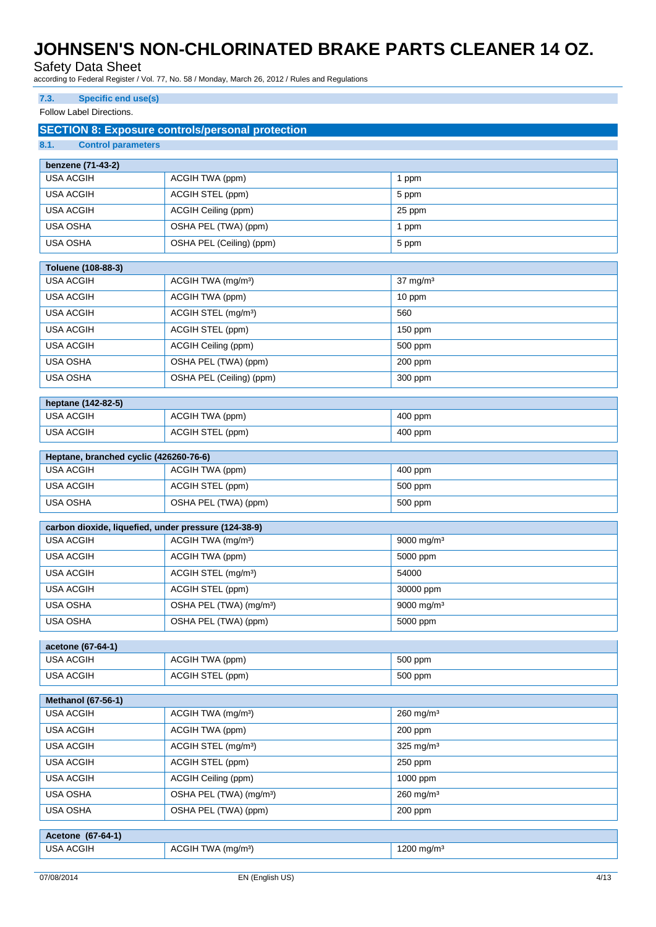Safety Data Sheet

according to Federal Register / Vol. 77, No. 58 / Monday, March 26, 2012 / Rules and Regulations

### **7.3. Specific end use(s)**

Follow Label Directions.

|                                                        | <b>SECTION 8: Exposure controls/personal protection</b> |                         |
|--------------------------------------------------------|---------------------------------------------------------|-------------------------|
| 8.1.<br><b>Control parameters</b>                      |                                                         |                         |
| benzene (71-43-2)                                      |                                                         |                         |
| <b>USA ACGIH</b>                                       | ACGIH TWA (ppm)                                         | 1 ppm                   |
| <b>USA ACGIH</b>                                       | <b>ACGIH STEL (ppm)</b>                                 | 5 ppm                   |
| <b>USA ACGIH</b>                                       | ACGIH Ceiling (ppm)                                     | 25 ppm                  |
| USA OSHA                                               | OSHA PEL (TWA) (ppm)                                    | 1 ppm                   |
| <b>USA OSHA</b>                                        | OSHA PEL (Ceiling) (ppm)                                | 5 ppm                   |
|                                                        |                                                         |                         |
| Toluene (108-88-3)                                     |                                                         |                         |
| <b>USA ACGIH</b>                                       | ACGIH TWA (mg/m <sup>3</sup> )                          | $37 \text{ mg/m}^3$     |
| <b>USA ACGIH</b>                                       | ACGIH TWA (ppm)                                         | 10 ppm                  |
| <b>USA ACGIH</b>                                       | ACGIH STEL (mg/m <sup>3</sup> )                         | 560                     |
| <b>USA ACGIH</b>                                       | ACGIH STEL (ppm)                                        | 150 ppm                 |
| <b>USA ACGIH</b>                                       | ACGIH Ceiling (ppm)                                     | 500 ppm                 |
| USA OSHA                                               | OSHA PEL (TWA) (ppm)                                    | 200 ppm                 |
| USA OSHA                                               | OSHA PEL (Ceiling) (ppm)                                | 300 ppm                 |
|                                                        |                                                         |                         |
| heptane (142-82-5)<br><b>USA ACGIH</b>                 | ACGIH TWA (ppm)                                         | 400 ppm                 |
| <b>USA ACGIH</b>                                       | ACGIH STEL (ppm)                                        | 400 ppm                 |
|                                                        |                                                         |                         |
| Heptane, branched cyclic (426260-76-6)                 |                                                         |                         |
| <b>USA ACGIH</b>                                       | ACGIH TWA (ppm)                                         | 400 ppm                 |
| <b>USA ACGIH</b>                                       | ACGIH STEL (ppm)                                        | 500 ppm                 |
| USA OSHA                                               | OSHA PEL (TWA) (ppm)                                    | 500 ppm                 |
|                                                        | carbon dioxide, liquefied, under pressure (124-38-9)    |                         |
| <b>USA ACGIH</b>                                       | ACGIH TWA (mg/m <sup>3</sup> )                          | 9000 mg/m <sup>3</sup>  |
| <b>USA ACGIH</b>                                       | ACGIH TWA (ppm)                                         | 5000 ppm                |
| <b>USA ACGIH</b>                                       | ACGIH STEL (mg/m <sup>3</sup> )                         | 54000                   |
| <b>USA ACGIH</b>                                       | ACGIH STEL (ppm)                                        | 30000 ppm               |
| <b>USA OSHA</b><br>OSHA PEL (TWA) (mg/m <sup>3</sup> ) |                                                         | 9000 mg/m <sup>3</sup>  |
| USA OSHA                                               | OSHA PEL (TWA) (ppm)                                    | 5000 ppm                |
|                                                        |                                                         |                         |
| acetone (67-64-1)                                      |                                                         |                         |
| <b>USA ACGIH</b>                                       | ACGIH TWA (ppm)                                         | 500 ppm                 |
| <b>USA ACGIH</b>                                       | ACGIH STEL (ppm)                                        | 500 ppm                 |
| <b>Methanol (67-56-1)</b>                              |                                                         |                         |
| <b>USA ACGIH</b>                                       | ACGIH TWA (mg/m <sup>3</sup> )                          | $260$ mg/m <sup>3</sup> |
| <b>USA ACGIH</b>                                       | ACGIH TWA (ppm)                                         | 200 ppm                 |
| <b>USA ACGIH</b>                                       | ACGIH STEL (mg/m <sup>3</sup> )                         | 325 mg/m <sup>3</sup>   |
| <b>USA ACGIH</b>                                       | ACGIH STEL (ppm)                                        | 250 ppm                 |
| <b>USA ACGIH</b>                                       | ACGIH Ceiling (ppm)                                     | 1000 ppm                |
| USA OSHA                                               | OSHA PEL (TWA) (mg/m <sup>3</sup> )                     | 260 mg/m <sup>3</sup>   |
| USA OSHA                                               | OSHA PEL (TWA) (ppm)                                    | 200 ppm                 |
|                                                        |                                                         |                         |
| Acetone (67-64-1)                                      |                                                         |                         |
| <b>USA ACGIH</b>                                       | ACGIH TWA (mg/m <sup>3</sup> )                          | 1200 mg/m <sup>3</sup>  |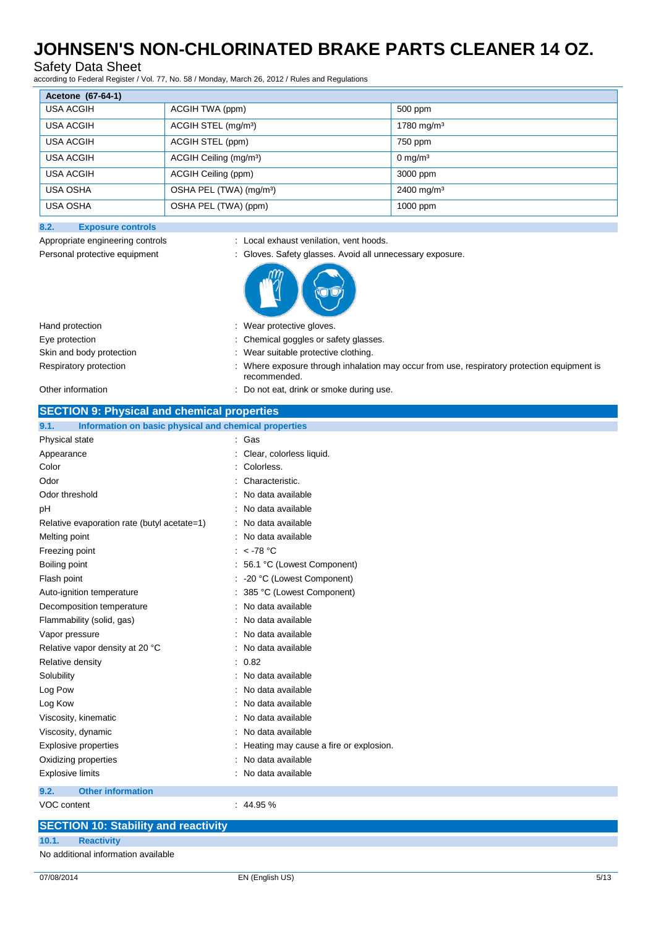### Safety Data Sheet

according to Federal Register / Vol. 77, No. 58 / Monday, March 26, 2012 / Rules and Regulations

| Acetone (67-64-1) |                                     |                       |  |  |
|-------------------|-------------------------------------|-----------------------|--|--|
| <b>USA ACGIH</b>  | ACGIH TWA (ppm)                     | 500 ppm               |  |  |
| USA ACGIH         | ACGIH STEL (mg/m <sup>3</sup> )     | 1780 mg/m $3$         |  |  |
| <b>USA ACGIH</b>  | ACGIH STEL (ppm)                    | 750 ppm               |  |  |
| <b>USA ACGIH</b>  | ACGIH Ceiling (mg/m <sup>3</sup> )  | $0 \text{ mg/m}^3$    |  |  |
| <b>USA ACGIH</b>  | ACGIH Ceiling (ppm)                 | 3000 ppm              |  |  |
| <b>USA OSHA</b>   | OSHA PEL (TWA) (mg/m <sup>3</sup> ) | $2400 \text{ mg/m}^3$ |  |  |
| <b>USA OSHA</b>   | OSHA PEL (TWA) (ppm)                | 1000 ppm              |  |  |

#### **8.2. Exposure controls**

Appropriate engineering controls : Local exhaust venilation, vent hoods.

Personal protective equipment : Gloves. Safety glasses. Avoid all unnecessary exposure.

| Hand protection          | : Wear protective gloves.                                                                                   |
|--------------------------|-------------------------------------------------------------------------------------------------------------|
| Eye protection           | : Chemical goggles or safety glasses.                                                                       |
| Skin and body protection | Wear suitable protective clothing.                                                                          |
| Respiratory protection   | : Where exposure through inhalation may occur from use, respiratory protection equipment is<br>recommended. |
|                          |                                                                                                             |

#### Other information  $\qquad \qquad$ : Do not eat, drink or smoke during use.

| <b>SECTION 9: Physical and chemical properties</b>            |                                        |  |
|---------------------------------------------------------------|----------------------------------------|--|
| Information on basic physical and chemical properties<br>9.1. |                                        |  |
| Physical state                                                | : Gas                                  |  |
| Appearance                                                    | Clear, colorless liquid.               |  |
| Color                                                         | Colorless.                             |  |
| Odor                                                          | Characteristic.                        |  |
| Odor threshold                                                | No data available                      |  |
| рH                                                            | No data available                      |  |
| Relative evaporation rate (butyl acetate=1)                   | No data available                      |  |
| Melting point                                                 | No data available                      |  |
| Freezing point                                                | : $<$ -78 °C                           |  |
| Boiling point                                                 | 56.1 °C (Lowest Component)             |  |
| Flash point                                                   | -20 °C (Lowest Component)              |  |
| Auto-ignition temperature                                     | 385 °C (Lowest Component)              |  |
| Decomposition temperature                                     | No data available                      |  |
| Flammability (solid, gas)                                     | No data available                      |  |
| Vapor pressure                                                | No data available                      |  |
| Relative vapor density at 20 °C                               | No data available                      |  |
| Relative density                                              | 0.82                                   |  |
| Solubility                                                    | No data available                      |  |
| Log Pow                                                       | No data available                      |  |
| Log Kow                                                       | No data available                      |  |
| Viscosity, kinematic                                          | No data available                      |  |
| Viscosity, dynamic                                            | No data available                      |  |
| <b>Explosive properties</b>                                   | Heating may cause a fire or explosion. |  |
| Oxidizing properties                                          | No data available                      |  |
| <b>Explosive limits</b>                                       | No data available                      |  |
| 9.2.<br><b>Other information</b>                              |                                        |  |
| <b>VOC content</b>                                            | : 44.95%                               |  |
| <b>SECTION 10: Stability and reactivity</b>                   |                                        |  |

**10.1. Reactivity**

No additional information available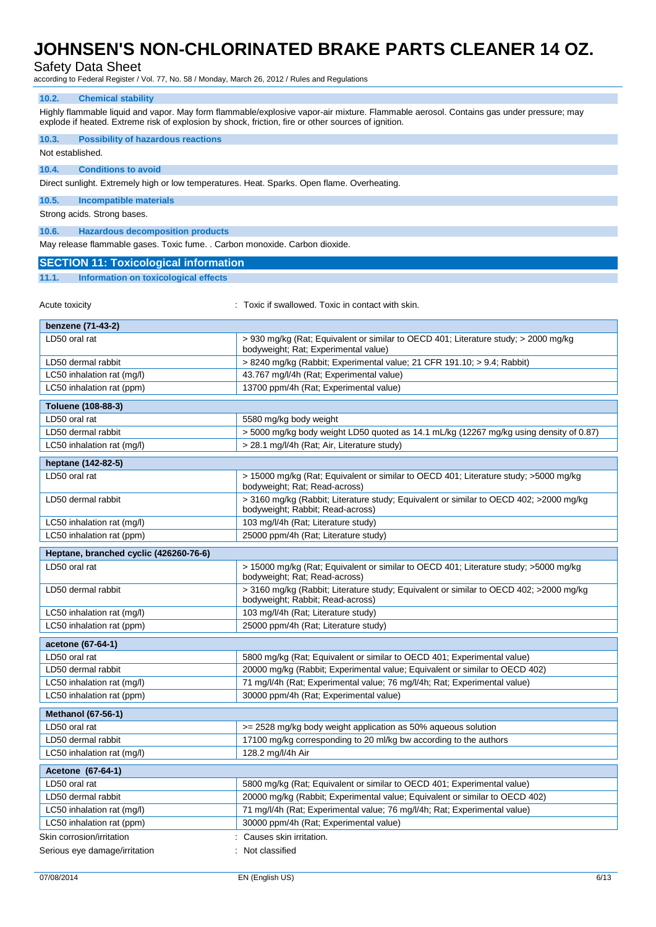### Safety Data Sheet

according to Federal Register / Vol. 77, No. 58 / Monday, March 26, 2012 / Rules and Regulations

#### **10.2. Chemical stability**

Highly flammable liquid and vapor. May form flammable/explosive vapor-air mixture. Flammable aerosol. Contains gas under pressure; may explode if heated. Extreme risk of explosion by shock, friction, fire or other sources of ignition.

| 10.3.<br><b>Possibility of hazardous reactions</b><br>Not established.                                                             |                                                                                                                             |  |  |
|------------------------------------------------------------------------------------------------------------------------------------|-----------------------------------------------------------------------------------------------------------------------------|--|--|
| <b>Conditions to avoid</b><br>10.4.<br>Direct sunlight. Extremely high or low temperatures. Heat. Sparks. Open flame. Overheating. |                                                                                                                             |  |  |
|                                                                                                                                    |                                                                                                                             |  |  |
| 10.5.<br><b>Incompatible materials</b>                                                                                             |                                                                                                                             |  |  |
| Strong acids. Strong bases.                                                                                                        |                                                                                                                             |  |  |
| 10.6.<br><b>Hazardous decomposition products</b>                                                                                   |                                                                                                                             |  |  |
| May release flammable gases. Toxic fume. . Carbon monoxide. Carbon dioxide.                                                        |                                                                                                                             |  |  |
| <b>SECTION 11: Toxicological information</b>                                                                                       |                                                                                                                             |  |  |
| 11.1.<br><b>Information on toxicological effects</b>                                                                               |                                                                                                                             |  |  |
| Acute toxicity                                                                                                                     | : Toxic if swallowed. Toxic in contact with skin.                                                                           |  |  |
| benzene (71-43-2)                                                                                                                  |                                                                                                                             |  |  |
| LD50 oral rat                                                                                                                      | > 930 mg/kg (Rat; Equivalent or similar to OECD 401; Literature study; > 2000 mg/kg<br>bodyweight; Rat; Experimental value) |  |  |
| LD50 dermal rabbit                                                                                                                 | > 8240 mg/kg (Rabbit; Experimental value; 21 CFR 191.10; > 9.4; Rabbit)                                                     |  |  |
| LC50 inhalation rat (mg/l)                                                                                                         | 43.767 mg/l/4h (Rat; Experimental value)                                                                                    |  |  |
| LC50 inhalation rat (ppm)                                                                                                          | 13700 ppm/4h (Rat; Experimental value)                                                                                      |  |  |
| Toluene (108-88-3)                                                                                                                 |                                                                                                                             |  |  |
| LD50 oral rat                                                                                                                      | 5580 mg/kg body weight                                                                                                      |  |  |
| LD50 dermal rabbit                                                                                                                 | > 5000 mg/kg body weight LD50 quoted as 14.1 mL/kg (12267 mg/kg using density of 0.87)                                      |  |  |
| LC50 inhalation rat (mg/l)                                                                                                         | > 28.1 mg/l/4h (Rat; Air, Literature study)                                                                                 |  |  |
| heptane (142-82-5)                                                                                                                 |                                                                                                                             |  |  |
| LD50 oral rat                                                                                                                      | > 15000 mg/kg (Rat; Equivalent or similar to OECD 401; Literature study; >5000 mg/kg<br>bodyweight; Rat; Read-across)       |  |  |
| LD50 dermal rabbit                                                                                                                 | > 3160 mg/kg (Rabbit; Literature study; Equivalent or similar to OECD 402; >2000 mg/kg<br>bodyweight; Rabbit; Read-across)  |  |  |
| LC50 inhalation rat (mg/l)                                                                                                         | 103 mg/l/4h (Rat; Literature study)                                                                                         |  |  |
| LC50 inhalation rat (ppm)                                                                                                          | 25000 ppm/4h (Rat; Literature study)                                                                                        |  |  |
| Heptane, branched cyclic (426260-76-6)                                                                                             |                                                                                                                             |  |  |
| LD50 oral rat                                                                                                                      | > 15000 mg/kg (Rat; Equivalent or similar to OECD 401; Literature study; >5000 mg/kg<br>bodyweight; Rat; Read-across)       |  |  |
| LD50 dermal rabbit                                                                                                                 | > 3160 mg/kg (Rabbit; Literature study; Equivalent or similar to OECD 402; >2000 mg/kg<br>bodyweight; Rabbit; Read-across)  |  |  |
| LC50 inhalation rat (mg/l)                                                                                                         | 103 mg/l/4h (Rat; Literature study)                                                                                         |  |  |
| LC50 inhalation rat (ppm)                                                                                                          | 25000 ppm/4h (Rat; Literature study)                                                                                        |  |  |
| acetone (67-64-1)                                                                                                                  |                                                                                                                             |  |  |
| LD50 oral rat                                                                                                                      | 5800 mg/kg (Rat; Equivalent or similar to OECD 401; Experimental value)                                                     |  |  |
| LD50 dermal rabbit                                                                                                                 | 20000 mg/kg (Rabbit; Experimental value; Equivalent or similar to OECD 402)                                                 |  |  |
| LC50 inhalation rat (mg/l)                                                                                                         | 71 mg/l/4h (Rat; Experimental value; 76 mg/l/4h; Rat; Experimental value)                                                   |  |  |
| LC50 inhalation rat (ppm)                                                                                                          | 30000 ppm/4h (Rat; Experimental value)                                                                                      |  |  |
| <b>Methanol (67-56-1)</b>                                                                                                          |                                                                                                                             |  |  |
| LD50 oral rat                                                                                                                      | >= 2528 mg/kg body weight application as 50% aqueous solution                                                               |  |  |
| LD50 dermal rabbit                                                                                                                 | 17100 mg/kg corresponding to 20 ml/kg bw according to the authors                                                           |  |  |
| LC50 inhalation rat (mg/l)                                                                                                         | 128.2 mg/l/4h Air                                                                                                           |  |  |
| Acetone (67-64-1)                                                                                                                  |                                                                                                                             |  |  |
| LD50 oral rat                                                                                                                      | 5800 mg/kg (Rat; Equivalent or similar to OECD 401; Experimental value)                                                     |  |  |
| LD50 dermal rabbit                                                                                                                 | 20000 mg/kg (Rabbit; Experimental value; Equivalent or similar to OECD 402)                                                 |  |  |
| LC50 inhalation rat (mg/l)                                                                                                         | 71 mg/l/4h (Rat; Experimental value; 76 mg/l/4h; Rat; Experimental value)                                                   |  |  |
| LC50 inhalation rat (ppm)                                                                                                          | 30000 ppm/4h (Rat; Experimental value)                                                                                      |  |  |
| Skin corrosion/irritation                                                                                                          | Causes skin irritation.<br>Not classified                                                                                   |  |  |
| Serious eye damage/irritation                                                                                                      |                                                                                                                             |  |  |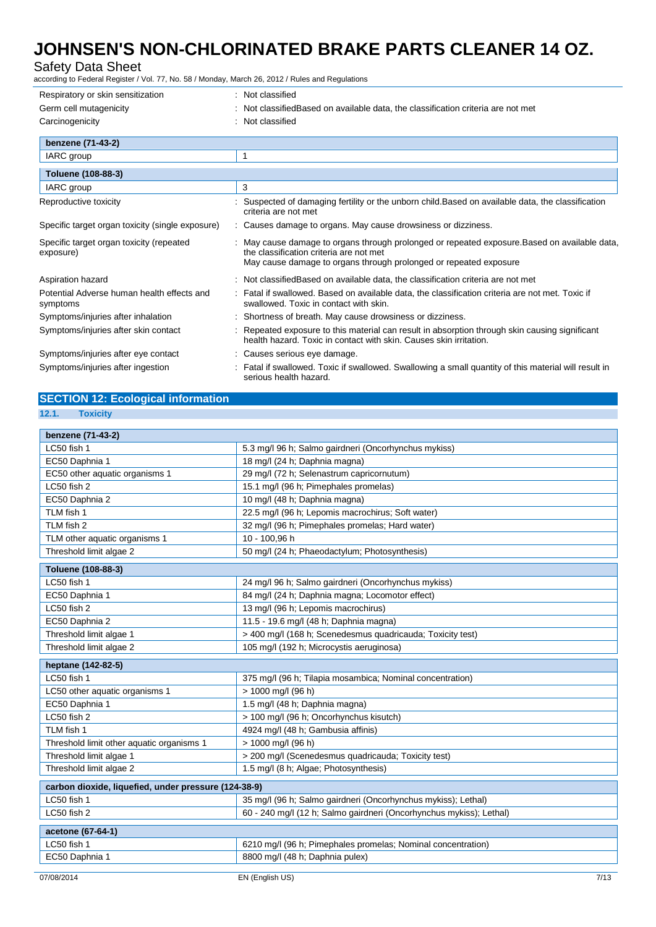### Safety Data Sheet

according to Federal Register / Vol. 77, No. 58 / Monday, March 26, 2012 / Rules and Regulations

| Respiratory or skin sensitization                      | : Not classified                                                                                                                                                                                              |
|--------------------------------------------------------|---------------------------------------------------------------------------------------------------------------------------------------------------------------------------------------------------------------|
| Germ cell mutagenicity                                 | Not classified Based on available data, the classification criteria are not met                                                                                                                               |
| Carcinogenicity                                        | : Not classified                                                                                                                                                                                              |
| benzene (71-43-2)                                      |                                                                                                                                                                                                               |
| IARC group                                             | $\mathbf{1}$                                                                                                                                                                                                  |
| <b>Toluene (108-88-3)</b>                              |                                                                                                                                                                                                               |
| IARC group                                             | 3                                                                                                                                                                                                             |
| Reproductive toxicity                                  | Suspected of damaging fertility or the unborn child. Based on available data, the classification<br>criteria are not met                                                                                      |
| Specific target organ toxicity (single exposure)       | : Causes damage to organs. May cause drowsiness or dizziness.                                                                                                                                                 |
| Specific target organ toxicity (repeated<br>exposure)  | : May cause damage to organs through prolonged or repeated exposure. Based on available data,<br>the classification criteria are not met<br>May cause damage to organs through prolonged or repeated exposure |
| Aspiration hazard                                      | : Not classifiedBased on available data, the classification criteria are not met                                                                                                                              |
| Potential Adverse human health effects and<br>symptoms | : Fatal if swallowed. Based on available data, the classification criteria are not met. Toxic if<br>swallowed. Toxic in contact with skin.                                                                    |
| Symptoms/injuries after inhalation                     | Shortness of breath. May cause drowsiness or dizziness.                                                                                                                                                       |
| Symptoms/injuries after skin contact                   | Repeated exposure to this material can result in absorption through skin causing significant<br>health hazard. Toxic in contact with skin. Causes skin irritation.                                            |
| Symptoms/injuries after eye contact                    | : Causes serious eye damage.                                                                                                                                                                                  |
| Symptoms/injuries after ingestion                      | Fatal if swallowed. Toxic if swallowed. Swallowing a small quantity of this material will result in<br>serious health hazard.                                                                                 |

## **SECTION 12: Ecological information**

**12.1. Toxicity**

| benzene (71-43-2)                                    |                                                                     |  |
|------------------------------------------------------|---------------------------------------------------------------------|--|
| LC50 fish 1                                          | 5.3 mg/l 96 h; Salmo gairdneri (Oncorhynchus mykiss)                |  |
| EC50 Daphnia 1                                       | 18 mg/l (24 h; Daphnia magna)                                       |  |
| EC50 other aquatic organisms 1                       | 29 mg/l (72 h; Selenastrum capricornutum)                           |  |
| LC50 fish 2                                          | 15.1 mg/l (96 h; Pimephales promelas)                               |  |
| EC50 Daphnia 2                                       | 10 mg/l (48 h; Daphnia magna)                                       |  |
| TLM fish 1                                           | 22.5 mg/l (96 h; Lepomis macrochirus; Soft water)                   |  |
| TLM fish 2                                           | 32 mg/l (96 h; Pimephales promelas; Hard water)                     |  |
| TLM other aquatic organisms 1                        | 10 - 100,96 h                                                       |  |
| Threshold limit algae 2                              | 50 mg/l (24 h; Phaeodactylum; Photosynthesis)                       |  |
| Toluene (108-88-3)                                   |                                                                     |  |
| LC50 fish 1                                          | 24 mg/l 96 h; Salmo gairdneri (Oncorhynchus mykiss)                 |  |
| EC50 Daphnia 1                                       | 84 mg/l (24 h; Daphnia magna; Locomotor effect)                     |  |
| LC50 fish 2                                          | 13 mg/l (96 h; Lepomis macrochirus)                                 |  |
| EC50 Daphnia 2                                       | 11.5 - 19.6 mg/l (48 h; Daphnia magna)                              |  |
| Threshold limit algae 1                              | > 400 mg/l (168 h; Scenedesmus quadricauda; Toxicity test)          |  |
| Threshold limit algae 2                              | 105 mg/l (192 h; Microcystis aeruginosa)                            |  |
| heptane (142-82-5)                                   |                                                                     |  |
| LC50 fish 1                                          | 375 mg/l (96 h; Tilapia mosambica; Nominal concentration)           |  |
| LC50 other aquatic organisms 1                       | > 1000 mg/l (96 h)                                                  |  |
| EC50 Daphnia 1                                       | 1.5 mg/l (48 h; Daphnia magna)                                      |  |
| LC50 fish 2                                          | > 100 mg/l (96 h; Oncorhynchus kisutch)                             |  |
| TLM fish 1                                           | 4924 mg/l (48 h; Gambusia affinis)                                  |  |
| Threshold limit other aquatic organisms 1            | > 1000 mg/l (96 h)                                                  |  |
| Threshold limit algae 1                              | > 200 mg/l (Scenedesmus quadricauda; Toxicity test)                 |  |
| Threshold limit algae 2                              | 1.5 mg/l (8 h; Algae; Photosynthesis)                               |  |
| carbon dioxide, liquefied, under pressure (124-38-9) |                                                                     |  |
| LC50 fish 1                                          | 35 mg/l (96 h; Salmo gairdneri (Oncorhynchus mykiss); Lethal)       |  |
| LC50 fish 2                                          | 60 - 240 mg/l (12 h; Salmo gairdneri (Oncorhynchus mykiss); Lethal) |  |
| acetone (67-64-1)                                    |                                                                     |  |
| LC50 fish 1                                          | 6210 mg/l (96 h; Pimephales promelas; Nominal concentration)        |  |
| EC50 Daphnia 1                                       | 8800 mg/l (48 h; Daphnia pulex)                                     |  |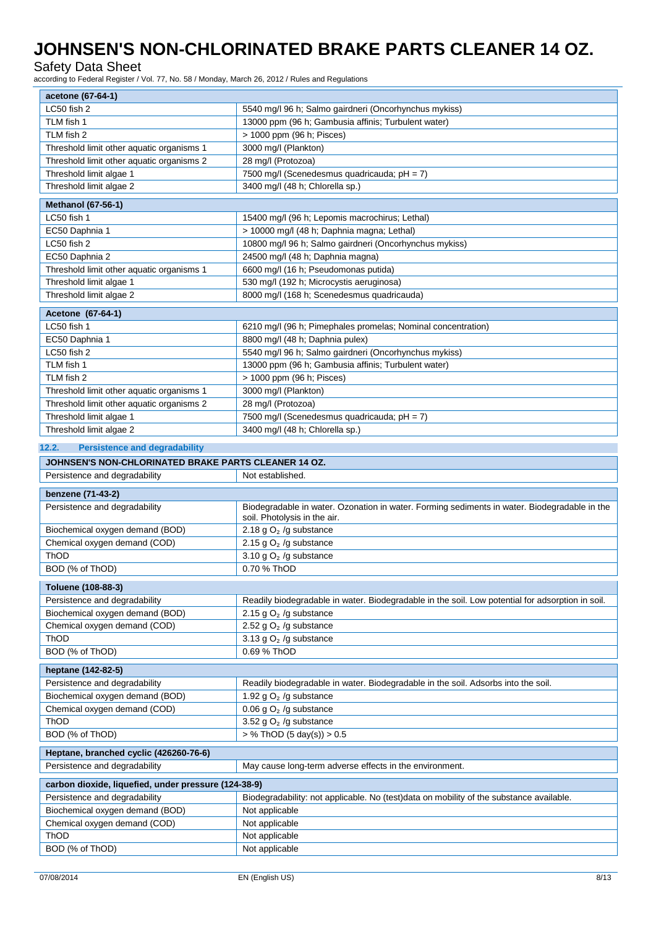### Safety Data Sheet

according to Federal Register / Vol. 77, No. 58 / Monday, March 26, 2012 / Rules and Regulations

| acetone (67-64-1)                                                       |                                                                                                                              |  |
|-------------------------------------------------------------------------|------------------------------------------------------------------------------------------------------------------------------|--|
| LC50 fish 2                                                             | 5540 mg/l 96 h; Salmo gairdneri (Oncorhynchus mykiss)                                                                        |  |
| TLM fish 1                                                              | 13000 ppm (96 h; Gambusia affinis; Turbulent water)                                                                          |  |
| TLM fish 2                                                              | > 1000 ppm (96 h; Pisces)                                                                                                    |  |
| Threshold limit other aquatic organisms 1                               | 3000 mg/l (Plankton)                                                                                                         |  |
| Threshold limit other aquatic organisms 2                               | 28 mg/l (Protozoa)                                                                                                           |  |
| Threshold limit algae 1                                                 | 7500 mg/l (Scenedesmus quadricauda; pH = 7)                                                                                  |  |
| Threshold limit algae 2                                                 | 3400 mg/l (48 h; Chlorella sp.)                                                                                              |  |
|                                                                         |                                                                                                                              |  |
| <b>Methanol (67-56-1)</b><br>LC50 fish 1                                | 15400 mg/l (96 h; Lepomis macrochirus; Lethal)                                                                               |  |
| EC50 Daphnia 1                                                          | > 10000 mg/l (48 h; Daphnia magna; Lethal)                                                                                   |  |
| LC50 fish 2                                                             | 10800 mg/l 96 h; Salmo gairdneri (Oncorhynchus mykiss)                                                                       |  |
| EC50 Daphnia 2                                                          | 24500 mg/l (48 h; Daphnia magna)                                                                                             |  |
|                                                                         | 6600 mg/l (16 h; Pseudomonas putida)                                                                                         |  |
| Threshold limit other aquatic organisms 1                               |                                                                                                                              |  |
| Threshold limit algae 1<br>Threshold limit algae 2                      | 530 mg/l (192 h; Microcystis aeruginosa)<br>8000 mg/l (168 h; Scenedesmus quadricauda)                                       |  |
|                                                                         |                                                                                                                              |  |
| Acetone (67-64-1)                                                       |                                                                                                                              |  |
| LC50 fish 1                                                             | 6210 mg/l (96 h; Pimephales promelas; Nominal concentration)                                                                 |  |
| EC50 Daphnia 1                                                          | 8800 mg/l (48 h; Daphnia pulex)                                                                                              |  |
| LC50 fish 2                                                             | 5540 mg/l 96 h; Salmo gairdneri (Oncorhynchus mykiss)                                                                        |  |
| TLM fish 1                                                              | 13000 ppm (96 h; Gambusia affinis; Turbulent water)                                                                          |  |
| TLM fish 2                                                              | > 1000 ppm (96 h; Pisces)                                                                                                    |  |
| Threshold limit other aquatic organisms 1                               | 3000 mg/l (Plankton)                                                                                                         |  |
| Threshold limit other aquatic organisms 2                               | 28 mg/l (Protozoa)                                                                                                           |  |
| Threshold limit algae 1                                                 | 7500 mg/l (Scenedesmus quadricauda; pH = 7)                                                                                  |  |
| Threshold limit algae 2                                                 | 3400 mg/l (48 h; Chlorella sp.)                                                                                              |  |
| 12.2.<br><b>Persistence and degradability</b>                           |                                                                                                                              |  |
| JOHNSEN'S NON-CHLORINATED BRAKE PARTS CLEANER 14 OZ.                    |                                                                                                                              |  |
| Persistence and degradability                                           | Not established.                                                                                                             |  |
|                                                                         |                                                                                                                              |  |
| benzene (71-43-2)                                                       |                                                                                                                              |  |
| Persistence and degradability                                           | Biodegradable in water. Ozonation in water. Forming sediments in water. Biodegradable in the<br>soil. Photolysis in the air. |  |
| Biochemical oxygen demand (BOD)                                         | 2.18 g $O2$ /g substance                                                                                                     |  |
| Chemical oxygen demand (COD)                                            | 2.15 g $O2$ /g substance                                                                                                     |  |
| ThOD                                                                    | 3.10 g $O2$ /g substance                                                                                                     |  |
| BOD (% of ThOD)                                                         | 0.70 % ThOD                                                                                                                  |  |
| Toluene (108-88-3)                                                      |                                                                                                                              |  |
| Persistence and degradability                                           | Readily biodegradable in water. Biodegradable in the soil. Low potential for adsorption in soil.                             |  |
| Biochemical oxygen demand (BOD)                                         | 2.15 g $O2$ /g substance                                                                                                     |  |
| Chemical oxygen demand (COD)                                            | 2.52 g $O2$ /g substance                                                                                                     |  |
| ThOD                                                                    | 3.13 g $O2$ /g substance                                                                                                     |  |
| BOD (% of ThOD)                                                         | 0.69 % ThOD                                                                                                                  |  |
| heptane (142-82-5)                                                      |                                                                                                                              |  |
| Persistence and degradability                                           | Readily biodegradable in water. Biodegradable in the soil. Adsorbs into the soil.                                            |  |
| Biochemical oxygen demand (BOD)                                         | 1.92 g $O2$ /g substance                                                                                                     |  |
| Chemical oxygen demand (COD)                                            | 0.06 g $O2$ /g substance                                                                                                     |  |
| ThOD                                                                    | 3.52 g $O2$ /g substance                                                                                                     |  |
| BOD (% of ThOD)                                                         | > % ThOD (5 day(s)) > 0.5                                                                                                    |  |
|                                                                         |                                                                                                                              |  |
| Heptane, branched cyclic (426260-76-6)<br>Persistence and degradability | May cause long-term adverse effects in the environment.                                                                      |  |
|                                                                         |                                                                                                                              |  |
| carbon dioxide, liquefied, under pressure (124-38-9)                    |                                                                                                                              |  |
| Persistence and degradability                                           | Biodegradability: not applicable. No (test)data on mobility of the substance available.                                      |  |
| Biochemical oxygen demand (BOD)                                         | Not applicable                                                                                                               |  |
| Chemical oxygen demand (COD)                                            | Not applicable                                                                                                               |  |
|                                                                         |                                                                                                                              |  |
| ThOD<br>BOD (% of ThOD)                                                 | Not applicable<br>Not applicable                                                                                             |  |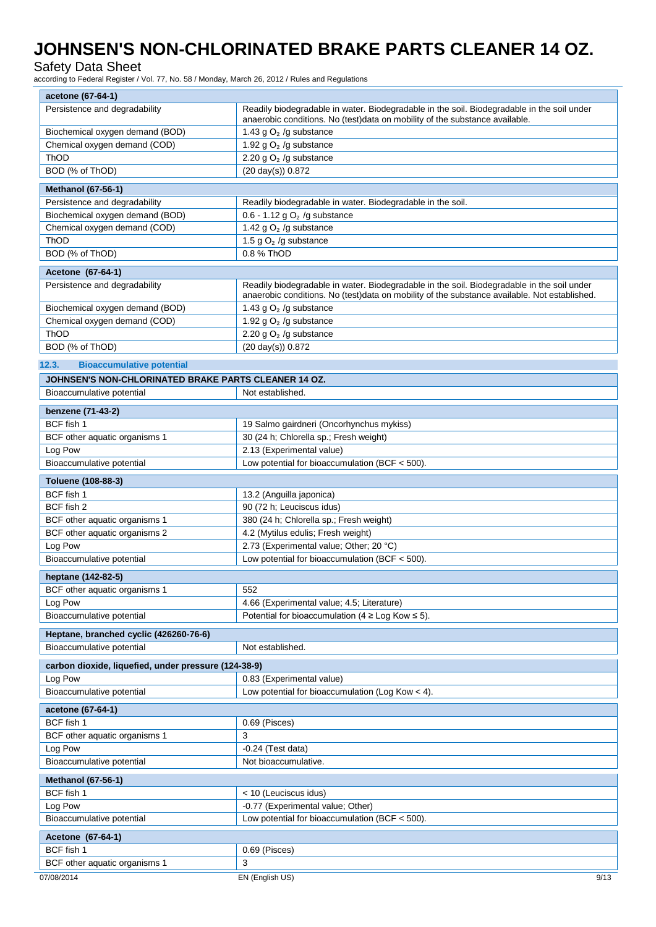### Safety Data Sheet

according to Federal Register / Vol. 77, No. 58 / Monday, March 26, 2012 / Rules and Regulations

| acetone (67-64-1)                                                   |                                                                                                                                                                                            |
|---------------------------------------------------------------------|--------------------------------------------------------------------------------------------------------------------------------------------------------------------------------------------|
| Persistence and degradability                                       | Readily biodegradable in water. Biodegradable in the soil. Biodegradable in the soil under<br>anaerobic conditions. No (test)data on mobility of the substance available.                  |
| Biochemical oxygen demand (BOD)                                     | 1.43 g $O2$ /g substance                                                                                                                                                                   |
| Chemical oxygen demand (COD)                                        | 1.92 g $O2$ /g substance                                                                                                                                                                   |
| ThOD                                                                | 2.20 g $O2$ /g substance                                                                                                                                                                   |
| BOD (% of ThOD)                                                     | (20 day(s)) 0.872                                                                                                                                                                          |
| <b>Methanol (67-56-1)</b>                                           |                                                                                                                                                                                            |
| Persistence and degradability                                       | Readily biodegradable in water. Biodegradable in the soil.                                                                                                                                 |
| Biochemical oxygen demand (BOD)                                     | $0.6 - 1.12$ g O <sub>2</sub> /g substance                                                                                                                                                 |
| Chemical oxygen demand (COD)                                        | 1.42 g $O2$ /g substance                                                                                                                                                                   |
| ThOD                                                                | 1.5 g $O2$ /g substance                                                                                                                                                                    |
| BOD (% of ThOD)                                                     | 0.8 % ThOD                                                                                                                                                                                 |
| Acetone (67-64-1)                                                   |                                                                                                                                                                                            |
| Persistence and degradability                                       | Readily biodegradable in water. Biodegradable in the soil. Biodegradable in the soil under<br>anaerobic conditions. No (test)data on mobility of the substance available. Not established. |
| Biochemical oxygen demand (BOD)                                     | 1.43 g $O2$ /g substance                                                                                                                                                                   |
| Chemical oxygen demand (COD)                                        | 1.92 g $O2$ /g substance                                                                                                                                                                   |
| <b>ThOD</b>                                                         | 2.20 g $O2$ /g substance                                                                                                                                                                   |
| BOD (% of ThOD)                                                     | $(20 \text{ day(s)})$ 0.872                                                                                                                                                                |
| 12.3.<br><b>Bioaccumulative potential</b>                           |                                                                                                                                                                                            |
| JOHNSEN'S NON-CHLORINATED BRAKE PARTS CLEANER 14 OZ.                |                                                                                                                                                                                            |
| Bioaccumulative potential                                           | Not established.                                                                                                                                                                           |
| benzene (71-43-2)                                                   |                                                                                                                                                                                            |
| BCF fish 1                                                          | 19 Salmo gairdneri (Oncorhynchus mykiss)                                                                                                                                                   |
| BCF other aquatic organisms 1                                       | 30 (24 h; Chlorella sp.; Fresh weight)                                                                                                                                                     |
| Log Pow                                                             | 2.13 (Experimental value)                                                                                                                                                                  |
| Bioaccumulative potential                                           | Low potential for bioaccumulation (BCF $<$ 500).                                                                                                                                           |
| Toluene (108-88-3)                                                  |                                                                                                                                                                                            |
| BCF fish 1                                                          | 13.2 (Anguilla japonica)                                                                                                                                                                   |
| BCF fish 2                                                          | 90 (72 h; Leuciscus idus)                                                                                                                                                                  |
| BCF other aquatic organisms 1                                       | 380 (24 h; Chlorella sp.; Fresh weight)                                                                                                                                                    |
| BCF other aquatic organisms 2                                       | 4.2 (Mytilus edulis; Fresh weight)                                                                                                                                                         |
| Log Pow                                                             | 2.73 (Experimental value; Other; 20 °C)                                                                                                                                                    |
| Bioaccumulative potential                                           | Low potential for bioaccumulation (BCF $<$ 500).                                                                                                                                           |
| heptane (142-82-5)                                                  |                                                                                                                                                                                            |
| BCF other aquatic organisms 1                                       | 552                                                                                                                                                                                        |
| Log Pow                                                             | 4.66 (Experimental value; 4.5; Literature)                                                                                                                                                 |
| Bioaccumulative potential                                           | Potential for bioaccumulation ( $4 \geq$ Log Kow $\leq$ 5).                                                                                                                                |
|                                                                     |                                                                                                                                                                                            |
| Heptane, branched cyclic (426260-76-6)<br>Bioaccumulative potential | Not established.                                                                                                                                                                           |
|                                                                     |                                                                                                                                                                                            |
| carbon dioxide, liquefied, under pressure (124-38-9)                |                                                                                                                                                                                            |
| Log Pow                                                             | 0.83 (Experimental value)                                                                                                                                                                  |
| Bioaccumulative potential                                           | Low potential for bioaccumulation (Log Kow $<$ 4).                                                                                                                                         |
| acetone (67-64-1)                                                   |                                                                                                                                                                                            |
| BCF fish 1                                                          | 0.69 (Pisces)                                                                                                                                                                              |
| BCF other aquatic organisms 1                                       | 3                                                                                                                                                                                          |
| Log Pow                                                             | $-0.24$ (Test data)                                                                                                                                                                        |
| Bioaccumulative potential                                           | Not bioaccumulative.                                                                                                                                                                       |
| <b>Methanol (67-56-1)</b>                                           |                                                                                                                                                                                            |
| BCF fish 1                                                          | < 10 (Leuciscus idus)                                                                                                                                                                      |
| Log Pow                                                             | -0.77 (Experimental value; Other)                                                                                                                                                          |
| Bioaccumulative potential                                           | Low potential for bioaccumulation (BCF $<$ 500).                                                                                                                                           |
| Acetone (67-64-1)                                                   |                                                                                                                                                                                            |
| BCF fish 1                                                          | 0.69 (Pisces)                                                                                                                                                                              |
| BCF other aquatic organisms 1                                       | 3                                                                                                                                                                                          |
| 07/08/2014                                                          | EN (English US)<br>9/13                                                                                                                                                                    |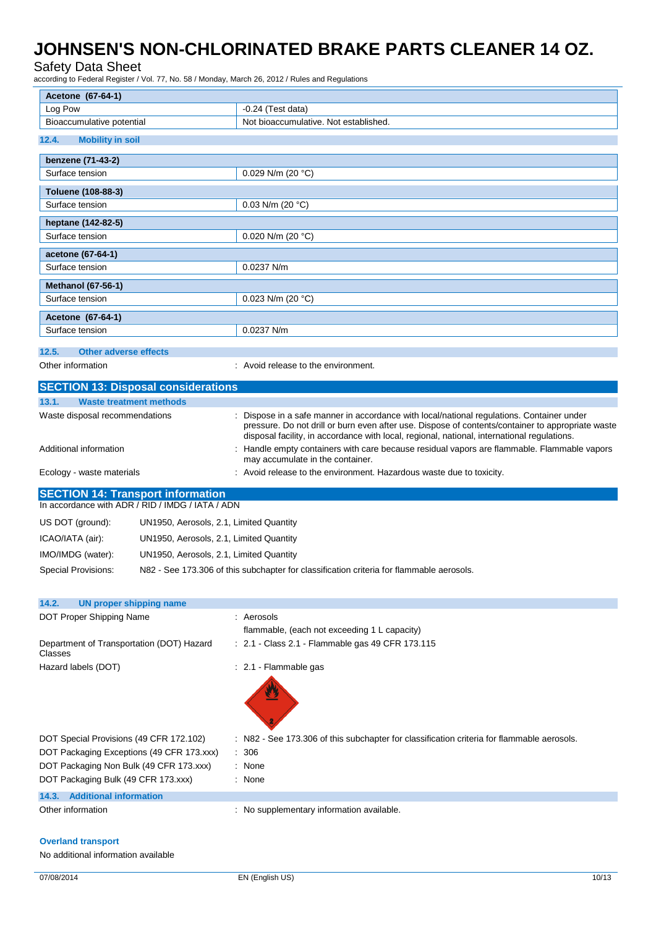### Safety Data Sheet

according to Federal Register / Vol. 77, No. 58 / Monday, March 26, 2012 / Rules and Regulations

| Acetone (67-64-1)                                           |                                         |                                                                                                                                                                                                  |  |
|-------------------------------------------------------------|-----------------------------------------|--------------------------------------------------------------------------------------------------------------------------------------------------------------------------------------------------|--|
|                                                             |                                         |                                                                                                                                                                                                  |  |
| Log Pow                                                     |                                         | $-0.24$ (Test data)                                                                                                                                                                              |  |
| Bioaccumulative potential                                   | Not bioaccumulative. Not established.   |                                                                                                                                                                                                  |  |
| 12.4.<br><b>Mobility in soil</b>                            |                                         |                                                                                                                                                                                                  |  |
| benzene (71-43-2)                                           |                                         |                                                                                                                                                                                                  |  |
| Surface tension                                             |                                         | 0.029 N/m (20 $°C$ )                                                                                                                                                                             |  |
| Toluene (108-88-3)                                          |                                         |                                                                                                                                                                                                  |  |
| Surface tension                                             |                                         | $0.03$ N/m (20 °C)                                                                                                                                                                               |  |
| heptane (142-82-5)                                          |                                         |                                                                                                                                                                                                  |  |
| Surface tension                                             |                                         | $0.020$ N/m (20 °C)                                                                                                                                                                              |  |
| acetone (67-64-1)                                           |                                         |                                                                                                                                                                                                  |  |
| Surface tension                                             |                                         | 0.0237 N/m                                                                                                                                                                                       |  |
| <b>Methanol (67-56-1)</b>                                   |                                         |                                                                                                                                                                                                  |  |
| Surface tension                                             |                                         | 0.023 N/m (20 $^{\circ}$ C)                                                                                                                                                                      |  |
|                                                             |                                         |                                                                                                                                                                                                  |  |
| Acetone (67-64-1)<br>Surface tension                        |                                         | 0.0237 N/m                                                                                                                                                                                       |  |
|                                                             |                                         |                                                                                                                                                                                                  |  |
| 12.5.<br><b>Other adverse effects</b>                       |                                         |                                                                                                                                                                                                  |  |
| Other information                                           |                                         | : Avoid release to the environment.                                                                                                                                                              |  |
| <b>SECTION 13: Disposal considerations</b>                  |                                         |                                                                                                                                                                                                  |  |
| 13.1.<br><b>Waste treatment methods</b>                     |                                         |                                                                                                                                                                                                  |  |
| Waste disposal recommendations                              |                                         | : Dispose in a safe manner in accordance with local/national regulations. Container under                                                                                                        |  |
|                                                             |                                         | pressure. Do not drill or burn even after use. Dispose of contents/container to appropriate waste<br>disposal facility, in accordance with local, regional, national, international regulations. |  |
| Additional information                                      |                                         | Handle empty containers with care because residual vapors are flammable. Flammable vapors                                                                                                        |  |
|                                                             |                                         | may accumulate in the container.                                                                                                                                                                 |  |
| Ecology - waste materials                                   |                                         | : Avoid release to the environment. Hazardous waste due to toxicity.                                                                                                                             |  |
| <b>SECTION 14: Transport information</b>                    |                                         |                                                                                                                                                                                                  |  |
| In accordance with ADR / RID / IMDG / IATA / ADN            |                                         |                                                                                                                                                                                                  |  |
| US DOT (ground):                                            | UN1950, Aerosols, 2.1, Limited Quantity |                                                                                                                                                                                                  |  |
| ICAO/IATA (air):                                            | UN1950, Aerosols, 2.1, Limited Quantity |                                                                                                                                                                                                  |  |
| IMO/IMDG (water):                                           | UN1950, Aerosols, 2.1, Limited Quantity |                                                                                                                                                                                                  |  |
| Special Provisions:                                         |                                         | N82 - See 173.306 of this subchapter for classification criteria for flammable aerosols.                                                                                                         |  |
|                                                             |                                         |                                                                                                                                                                                                  |  |
|                                                             |                                         |                                                                                                                                                                                                  |  |
|                                                             |                                         |                                                                                                                                                                                                  |  |
| 14.2.<br><b>UN proper shipping name</b>                     |                                         | : Aerosols                                                                                                                                                                                       |  |
| DOT Proper Shipping Name                                    |                                         | flammable, (each not exceeding 1 L capacity)                                                                                                                                                     |  |
| Department of Transportation (DOT) Hazard<br>Classes        |                                         | : 2.1 - Class 2.1 - Flammable gas 49 CFR 173.115                                                                                                                                                 |  |
| Hazard labels (DOT)                                         |                                         | : 2.1 - Flammable gas                                                                                                                                                                            |  |
|                                                             |                                         |                                                                                                                                                                                                  |  |
|                                                             |                                         |                                                                                                                                                                                                  |  |
|                                                             |                                         |                                                                                                                                                                                                  |  |
|                                                             |                                         |                                                                                                                                                                                                  |  |
| DOT Special Provisions (49 CFR 172.102)                     |                                         | : N82 - See 173.306 of this subchapter for classification criteria for flammable aerosols.                                                                                                       |  |
| DOT Packaging Exceptions (49 CFR 173.xxx)                   |                                         | $\therefore$ 306                                                                                                                                                                                 |  |
| DOT Packaging Non Bulk (49 CFR 173.xxx)                     |                                         | : None                                                                                                                                                                                           |  |
| DOT Packaging Bulk (49 CFR 173.xxx)                         |                                         | : None                                                                                                                                                                                           |  |
| <b>Additional information</b><br>14.3.<br>Other information |                                         | : No supplementary information available.                                                                                                                                                        |  |

#### **Overland transport**

No additional information available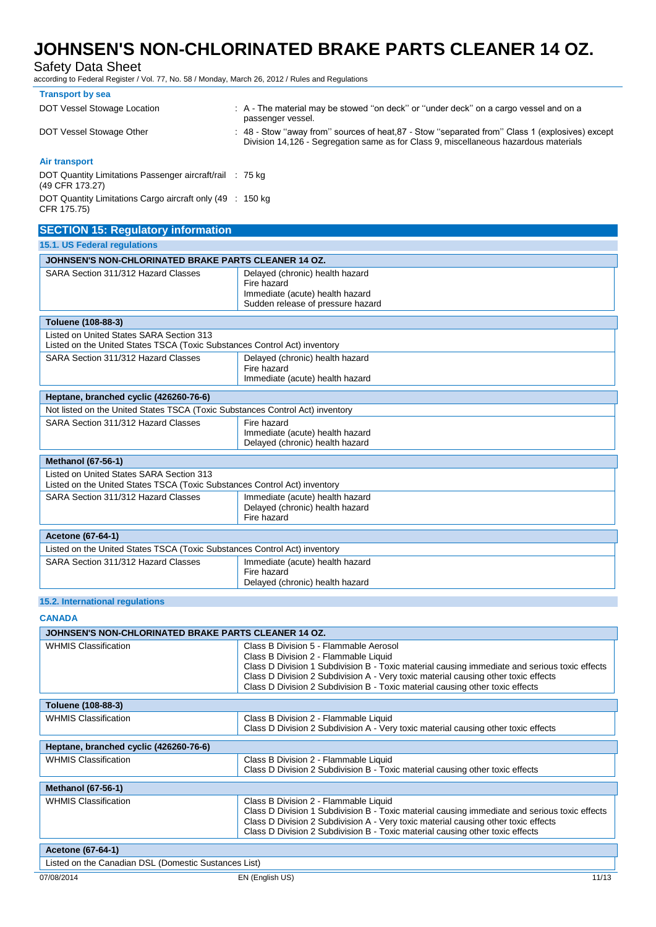### Safety Data Sheet

according to Federal Register / Vol. 77, No. 58 / Monday, March 26, 2012 / Rules and Regulations

| <b>Transport by sea</b>                                                     |                                                                                                                                                                                         |
|-----------------------------------------------------------------------------|-----------------------------------------------------------------------------------------------------------------------------------------------------------------------------------------|
| DOT Vessel Stowage Location                                                 | : A - The material may be stowed "on deck" or "under deck" on a cargo vessel and on a<br>passenger vessel.                                                                              |
| DOT Vessel Stowage Other                                                    | : 48 - Stow "away from" sources of heat, 87 - Stow "separated from" Class 1 (explosives) except<br>Division 14,126 - Segregation same as for Class 9, miscellaneous hazardous materials |
| Air transport                                                               |                                                                                                                                                                                         |
| DOT Quantity Limitations Passenger aircraft/rail : 75 kg<br>(49 CFR 173.27) |                                                                                                                                                                                         |
|                                                                             |                                                                                                                                                                                         |

DOT Quantity Limitations Cargo aircraft only (49 CFR 175.75) : 150 kg

## **SECTION 15: Regulatory information**

| <b>15.1. US Federal regulations</b>                                                                                   |                                                                                                                        |  |
|-----------------------------------------------------------------------------------------------------------------------|------------------------------------------------------------------------------------------------------------------------|--|
| JOHNSEN'S NON-CHLORINATED BRAKE PARTS CLEANER 14 OZ.                                                                  |                                                                                                                        |  |
| SARA Section 311/312 Hazard Classes                                                                                   | Delayed (chronic) health hazard<br>Fire hazard<br>Immediate (acute) health hazard<br>Sudden release of pressure hazard |  |
| Toluene (108-88-3)                                                                                                    |                                                                                                                        |  |
| Listed on United States SARA Section 313<br>Listed on the United States TSCA (Toxic Substances Control Act) inventory |                                                                                                                        |  |
| SARA Section 311/312 Hazard Classes                                                                                   | Delayed (chronic) health hazard<br>Fire hazard<br>Immediate (acute) health hazard                                      |  |
| Heptane, branched cyclic (426260-76-6)                                                                                |                                                                                                                        |  |
| Not listed on the United States TSCA (Toxic Substances Control Act) inventory                                         |                                                                                                                        |  |
| SARA Section 311/312 Hazard Classes                                                                                   | Fire hazard<br>Immediate (acute) health hazard<br>Delayed (chronic) health hazard                                      |  |
| <b>Methanol (67-56-1)</b>                                                                                             |                                                                                                                        |  |
| Listed on United States SARA Section 313<br>Listed on the United States TSCA (Toxic Substances Control Act) inventory |                                                                                                                        |  |
| SARA Section 311/312 Hazard Classes                                                                                   | Immediate (acute) health hazard<br>Delayed (chronic) health hazard<br>Fire hazard                                      |  |
| <b>Acetone (67-64-1)</b>                                                                                              |                                                                                                                        |  |
| Listed on the United States TSCA (Toxic Substances Control Act) inventory                                             |                                                                                                                        |  |
| SARA Section 311/312 Hazard Classes                                                                                   | Immediate (acute) health hazard<br>Fire hazard<br>Delayed (chronic) health hazard                                      |  |

#### **15.2. International regulations**

**CANADA**

| JOHNSEN'S NON-CHLORINATED BRAKE PARTS CLEANER 14 OZ. |                                                                                                                                                                                                                                                                                                                                                         |  |
|------------------------------------------------------|---------------------------------------------------------------------------------------------------------------------------------------------------------------------------------------------------------------------------------------------------------------------------------------------------------------------------------------------------------|--|
| <b>WHMIS Classification</b>                          | Class B Division 5 - Flammable Aerosol<br>Class B Division 2 - Flammable Liquid<br>Class D Division 1 Subdivision B - Toxic material causing immediate and serious toxic effects<br>Class D Division 2 Subdivision A - Very toxic material causing other toxic effects<br>Class D Division 2 Subdivision B - Toxic material causing other toxic effects |  |
| Toluene (108-88-3)                                   |                                                                                                                                                                                                                                                                                                                                                         |  |
| <b>WHMIS Classification</b>                          | Class B Division 2 - Flammable Liquid<br>Class D Division 2 Subdivision A - Very toxic material causing other toxic effects                                                                                                                                                                                                                             |  |
| Heptane, branched cyclic (426260-76-6)               |                                                                                                                                                                                                                                                                                                                                                         |  |
| <b>WHMIS Classification</b>                          | Class B Division 2 - Flammable Liquid<br>Class D Division 2 Subdivision B - Toxic material causing other toxic effects                                                                                                                                                                                                                                  |  |
| <b>Methanol (67-56-1)</b>                            |                                                                                                                                                                                                                                                                                                                                                         |  |
| <b>WHMIS Classification</b>                          | Class B Division 2 - Flammable Liquid<br>Class D Division 1 Subdivision B - Toxic material causing immediate and serious toxic effects<br>Class D Division 2 Subdivision A - Very toxic material causing other toxic effects<br>Class D Division 2 Subdivision B - Toxic material causing other toxic effects                                           |  |
| <b>Acetone (67-64-1)</b>                             |                                                                                                                                                                                                                                                                                                                                                         |  |
| Listed on the Canadian DSL (Domestic Sustances List) |                                                                                                                                                                                                                                                                                                                                                         |  |
| 07/08/2014                                           | 11/13<br>EN (English US)                                                                                                                                                                                                                                                                                                                                |  |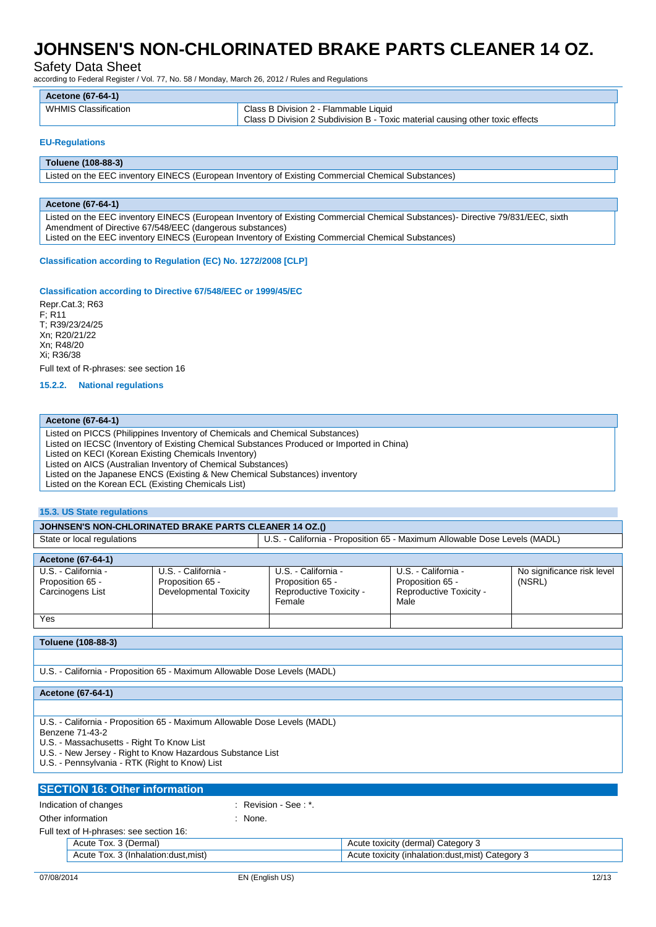Safety Data Sheet

according to Federal Register / Vol. 77, No. 58 / Monday, March 26, 2012 / Rules and Regulations

| <b>Acetone (67-64-1)</b> |                                                                               |
|--------------------------|-------------------------------------------------------------------------------|
| WHMIS Classification     | Class B Division 2 - Flammable Liquid                                         |
|                          | Class D Division 2 Subdivision B - Toxic material causing other toxic effects |

#### **EU-Regulations**

#### **Toluene (108-88-3)**

Listed on the EEC inventory EINECS (European Inventory of Existing Commercial Chemical Substances)

#### **Acetone (67-64-1)**

Listed on the EEC inventory EINECS (European Inventory of Existing Commercial Chemical Substances)- Directive 79/831/EEC, sixth Amendment of Directive 67/548/EEC (dangerous substances) Listed on the EEC inventory EINECS (European Inventory of Existing Commercial Chemical Substances)

#### **Classification according to Regulation (EC) No. 1272/2008 [CLP]**

#### **Classification according to Directive 67/548/EEC or 1999/45/EC**

Repr.Cat.3; R63 F; R11 T; R39/23/24/25 Xn; R20/21/22 Xn; R48/20 Xi; R36/38 Full text of R-phrases: see section 16

**15.2.2. National regulations**

#### **Acetone (67-64-1)**

Listed on PICCS (Philippines Inventory of Chemicals and Chemical Substances) Listed on IECSC (Inventory of Existing Chemical Substances Produced or Imported in China) Listed on KECI (Korean Existing Chemicals Inventory) Listed on AICS (Australian Inventory of Chemical Substances) Listed on the Japanese ENCS (Existing & New Chemical Substances) inventory Listed on the Korean ECL (Existing Chemicals List)

#### **15.3. US State regulations**

#### **JOHNSEN'S NON-CHLORINATED BRAKE PARTS CLEANER 14 OZ.()**

| State or local regulations | - California - Proposition 65 - Maximum Allowable Dose Levels (MADL)<br>U.S. - |
|----------------------------|--------------------------------------------------------------------------------|

| Acetone (67-64-1)                                           |                                                                   |                                                                              |                                                                            |                                      |
|-------------------------------------------------------------|-------------------------------------------------------------------|------------------------------------------------------------------------------|----------------------------------------------------------------------------|--------------------------------------|
| U.S. - California -<br>Proposition 65 -<br>Carcinogens List | U.S. - California -<br>Proposition 65 -<br>Developmental Toxicity | U.S. - California -<br>Proposition 65 -<br>Reproductive Toxicity -<br>Female | U.S. - California -<br>Proposition 65 -<br>Reproductive Toxicity -<br>Male | No significance risk level<br>(NSRL) |
| Yes                                                         |                                                                   |                                                                              |                                                                            |                                      |

#### **Toluene (108-88-3)**

U.S. - California - Proposition 65 - Maximum Allowable Dose Levels (MADL)

**Acetone (67-64-1)**

U.S. - California - Proposition 65 - Maximum Allowable Dose Levels (MADL)

Benzene 71-43-2

U.S. - Massachusetts - Right To Know List

U.S. - New Jersey - Right to Know Hazardous Substance List

U.S. - Pennsylvania - RTK (Right to Know) List

### **SECTION 16: Other information** Indication of changes in the second of  $\mathbb{R}$  Revision - See : \*. Other information in the set of the set of the set of the set of the set of the set of the set of the set of the set of the set of the set of the set of the set of the set of the set of the set of the set of the set of the Full text of H-phrases: see section 16: Acute Tox. 3 (Dermal) **Acute Tox. 3 (Dermal)** Acute toxicity (dermal) Category 3 Acute Tox. 3 (Inhalation:dust,mist) Acute toxicity (inhalation:dust,mist) Category 3